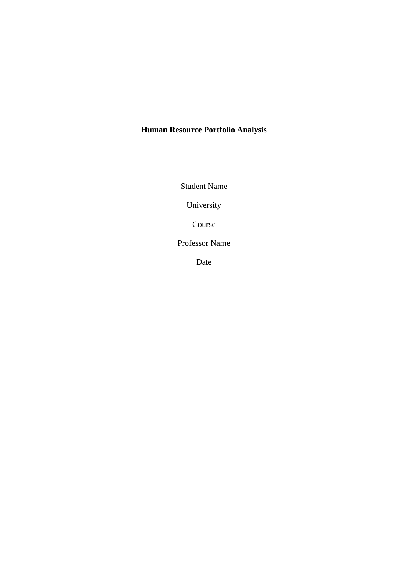# **Human Resource Portfolio Analysis**

Student Name

University

Course

Professor Name

Date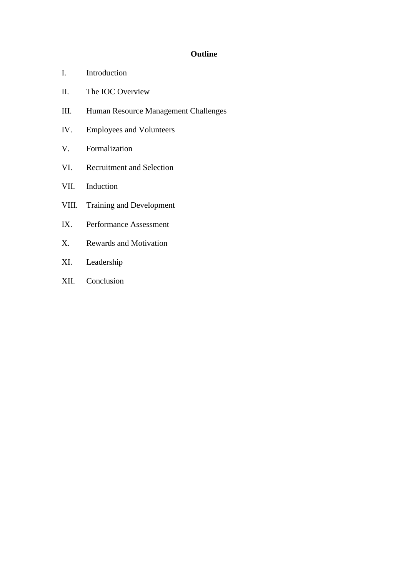## **Outline**

- I. Introduction
- II. The IOC Overview
- III. Human Resource Management Challenges
- IV. Employees and Volunteers
- V. Formalization
- VI. Recruitment and Selection
- VII. Induction
- VIII. Training and Development
- IX. Performance Assessment
- X. Rewards and Motivation
- XI. Leadership
- XII. Conclusion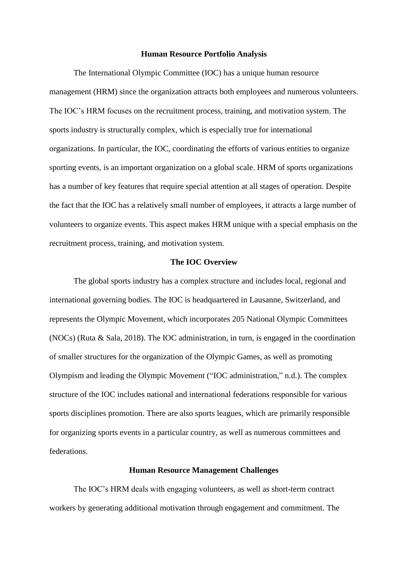#### **Human Resource Portfolio Analysis**

The International Olympic Committee (IOC) has a unique human resource management (HRM) since the organization attracts both employees and numerous volunteers. The IOC's HRM focuses on the recruitment process, training, and motivation system. The sports industry is structurally complex, which is especially true for international organizations. In particular, the IOC, coordinating the efforts of various entities to organize sporting events, is an important organization on a global scale. HRM of sports organizations has a number of key features that require special attention at all stages of operation. Despite the fact that the IOC has a relatively small number of employees, it attracts a large number of volunteers to organize events. This aspect makes HRM unique with a special emphasis on the recruitment process, training, and motivation system.

## **The IOC Overview**

The global sports industry has a complex structure and includes local, regional and international governing bodies. The IOC is headquartered in Lausanne, Switzerland, and represents the Olympic Movement, which incorporates 205 National Olympic Committees (NOCs) (Ruta & Sala, 2018). The IOC administration, in turn, is engaged in the coordination of smaller structures for the organization of the Olympic Games, as well as promoting Olympism and leading the Olympic Movement ("IOC administration," n.d.). The complex structure of the IOC includes national and international federations responsible for various sports disciplines promotion. There are also sports leagues, which are primarily responsible for organizing sports events in a particular country, as well as numerous committees and federations.

## **Human Resource Management Challenges**

The IOC's HRM deals with engaging volunteers, as well as short-term contract workers by generating additional motivation through engagement and commitment. The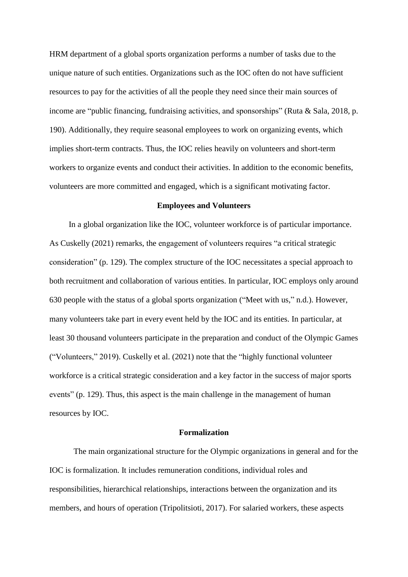HRM department of a global sports organization performs a number of tasks due to the unique nature of such entities. Organizations such as the IOC often do not have sufficient resources to pay for the activities of all the people they need since their main sources of income are "public financing, fundraising activities, and sponsorships" (Ruta & Sala, 2018, p. 190). Additionally, they require seasonal employees to work on organizing events, which implies short-term contracts. Thus, the IOC relies heavily on volunteers and short-term workers to organize events and conduct their activities. In addition to the economic benefits, volunteers are more committed and engaged, which is a significant motivating factor.

#### **Employees and Volunteers**

In a global organization like the IOC, volunteer workforce is of particular importance. As Cuskelly (2021) remarks, the engagement of volunteers requires "a critical strategic consideration" (p. 129). The complex structure of the IOC necessitates a special approach to both recruitment and collaboration of various entities. In particular, IOC employs only around 630 people with the status of a global sports organization ("Meet with us," n.d.). However, many volunteers take part in every event held by the IOC and its entities. In particular, at least 30 thousand volunteers participate in the preparation and conduct of the Olympic Games ("Volunteers," 2019). Cuskelly et al. (2021) note that the "highly functional volunteer workforce is a critical strategic consideration and a key factor in the success of major sports events" (p. 129). Thus, this aspect is the main challenge in the management of human resources by IOC.

## **Formalization**

The main organizational structure for the Olympic organizations in general and for the IOC is formalization. It includes remuneration conditions, individual roles and responsibilities, hierarchical relationships, interactions between the organization and its members, and hours of operation (Tripolitsioti, 2017). For salaried workers, these aspects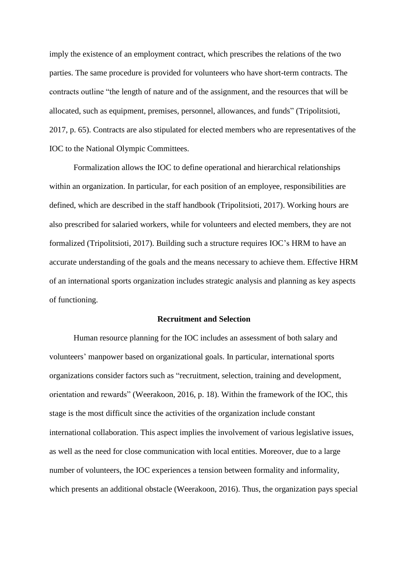imply the existence of an employment contract, which prescribes the relations of the two parties. The same procedure is provided for volunteers who have short-term contracts. The contracts outline "the length of nature and of the assignment, and the resources that will be allocated, such as equipment, premises, personnel, allowances, and funds" (Tripolitsioti, 2017, p. 65). Contracts are also stipulated for elected members who are representatives of the IOC to the National Olympic Committees.

Formalization allows the IOC to define operational and hierarchical relationships within an organization. In particular, for each position of an employee, responsibilities are defined, which are described in the staff handbook (Tripolitsioti, 2017). Working hours are also prescribed for salaried workers, while for volunteers and elected members, they are not formalized (Tripolitsioti, 2017). Building such a structure requires IOC's HRM to have an accurate understanding of the goals and the means necessary to achieve them. Effective HRM of an international sports organization includes strategic analysis and planning as key aspects of functioning.

## **Recruitment and Selection**

Human resource planning for the IOC includes an assessment of both salary and volunteers' manpower based on organizational goals. In particular, international sports organizations consider factors such as "recruitment, selection, training and development, orientation and rewards" (Weerakoon, 2016, p. 18). Within the framework of the IOC, this stage is the most difficult since the activities of the organization include constant international collaboration. This aspect implies the involvement of various legislative issues, as well as the need for close communication with local entities. Moreover, due to a large number of volunteers, the IOC experiences a tension between formality and informality, which presents an additional obstacle (Weerakoon, 2016). Thus, the organization pays special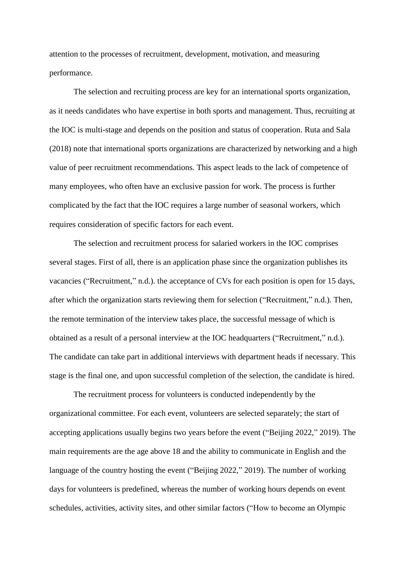attention to the processes of recruitment, development, motivation, and measuring performance.

The selection and recruiting process are key for an international sports organization, as it needs candidates who have expertise in both sports and management. Thus, recruiting at the IOC is multi-stage and depends on the position and status of cooperation. Ruta and Sala (2018) note that international sports organizations are characterized by networking and a high value of peer recruitment recommendations. This aspect leads to the lack of competence of many employees, who often have an exclusive passion for work. The process is further complicated by the fact that the IOC requires a large number of seasonal workers, which requires consideration of specific factors for each event.

The selection and recruitment process for salaried workers in the IOC comprises several stages. First of all, there is an application phase since the organization publishes its vacancies ("Recruitment," n.d.). the acceptance of CVs for each position is open for 15 days, after which the organization starts reviewing them for selection ("Recruitment," n.d.). Then, the remote termination of the interview takes place, the successful message of which is obtained as a result of a personal interview at the IOC headquarters ("Recruitment," n.d.). The candidate can take part in additional interviews with department heads if necessary. This stage is the final one, and upon successful completion of the selection, the candidate is hired.

The recruitment process for volunteers is conducted independently by the organizational committee. For each event, volunteers are selected separately; the start of accepting applications usually begins two years before the event ("Beijing 2022," 2019). The main requirements are the age above 18 and the ability to communicate in English and the language of the country hosting the event ("Beijing 2022," 2019). The number of working days for volunteers is predefined, whereas the number of working hours depends on event schedules, activities, activity sites, and other similar factors ("How to become an Olympic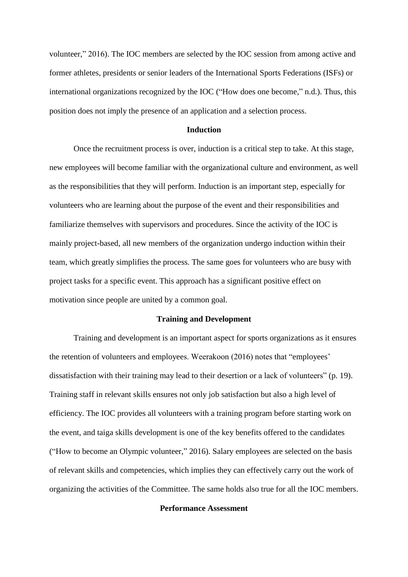volunteer," 2016). The IOC members are selected by the IOC session from among active and former athletes, presidents or senior leaders of the International Sports Federations (ISFs) or international organizations recognized by the IOC ("How does one become," n.d.). Thus, this position does not imply the presence of an application and a selection process.

#### **Induction**

Once the recruitment process is over, induction is a critical step to take. At this stage, new employees will become familiar with the organizational culture and environment, as well as the responsibilities that they will perform. Induction is an important step, especially for volunteers who are learning about the purpose of the event and their responsibilities and familiarize themselves with supervisors and procedures. Since the activity of the IOC is mainly project-based, all new members of the organization undergo induction within their team, which greatly simplifies the process. The same goes for volunteers who are busy with project tasks for a specific event. This approach has a significant positive effect on motivation since people are united by a common goal.

#### **Training and Development**

Training and development is an important aspect for sports organizations as it ensures the retention of volunteers and employees. Weerakoon (2016) notes that "employees' dissatisfaction with their training may lead to their desertion or a lack of volunteers" (p. 19). Training staff in relevant skills ensures not only job satisfaction but also a high level of efficiency. The IOC provides all volunteers with a training program before starting work on the event, and taiga skills development is one of the key benefits offered to the candidates ("How to become an Olympic volunteer," 2016). Salary employees are selected on the basis of relevant skills and competencies, which implies they can effectively carry out the work of organizing the activities of the Committee. The same holds also true for all the IOC members.

## **Performance Assessment**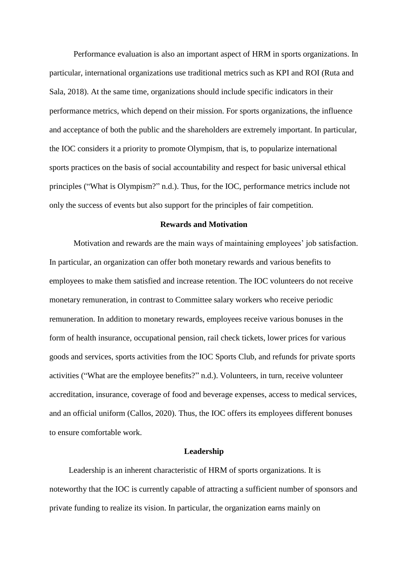Performance evaluation is also an important aspect of HRM in sports organizations. In particular, international organizations use traditional metrics such as KPI and ROI (Ruta and Sala, 2018). At the same time, organizations should include specific indicators in their performance metrics, which depend on their mission. For sports organizations, the influence and acceptance of both the public and the shareholders are extremely important. In particular, the IOC considers it a priority to promote Olympism, that is, to popularize international sports practices on the basis of social accountability and respect for basic universal ethical principles ("What is Olympism?" n.d.). Thus, for the IOC, performance metrics include not only the success of events but also support for the principles of fair competition.

## **Rewards and Motivation**

Motivation and rewards are the main ways of maintaining employees' job satisfaction. In particular, an organization can offer both monetary rewards and various benefits to employees to make them satisfied and increase retention. The IOC volunteers do not receive monetary remuneration, in contrast to Committee salary workers who receive periodic remuneration. In addition to monetary rewards, employees receive various bonuses in the form of health insurance, occupational pension, rail check tickets, lower prices for various goods and services, sports activities from the IOC Sports Club, and refunds for private sports activities ("What are the employee benefits?" n.d.). Volunteers, in turn, receive volunteer accreditation, insurance, coverage of food and beverage expenses, access to medical services, and an official uniform (Callos, 2020). Thus, the IOC offers its employees different bonuses to ensure comfortable work.

### **Leadership**

Leadership is an inherent characteristic of HRM of sports organizations. It is noteworthy that the IOC is currently capable of attracting a sufficient number of sponsors and private funding to realize its vision. In particular, the organization earns mainly on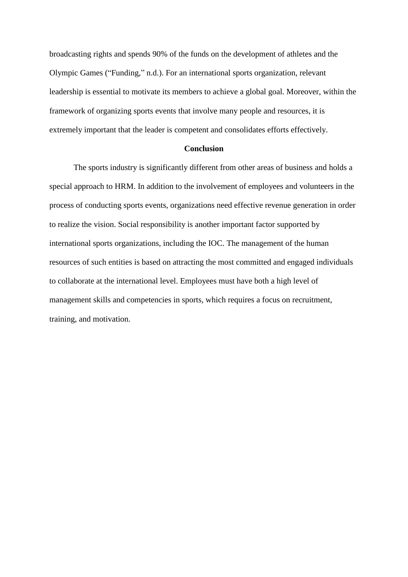broadcasting rights and spends 90% of the funds on the development of athletes and the Olympic Games ("Funding," n.d.). For an international sports organization, relevant leadership is essential to motivate its members to achieve a global goal. Moreover, within the framework of organizing sports events that involve many people and resources, it is extremely important that the leader is competent and consolidates efforts effectively.

## **Conclusion**

The sports industry is significantly different from other areas of business and holds a special approach to HRM. In addition to the involvement of employees and volunteers in the process of conducting sports events, organizations need effective revenue generation in order to realize the vision. Social responsibility is another important factor supported by international sports organizations, including the IOC. The management of the human resources of such entities is based on attracting the most committed and engaged individuals to collaborate at the international level. Employees must have both a high level of management skills and competencies in sports, which requires a focus on recruitment, training, and motivation.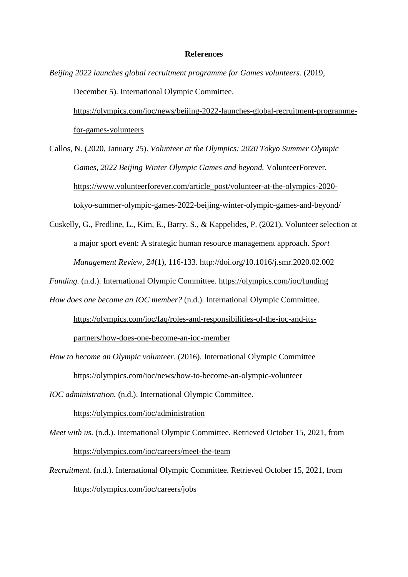## **References**

*Beijing 2022 launches global recruitment programme for Games volunteers.* (2019, December 5). International Olympic Committee. [https://olympics.com/ioc/news/beijing-2022-launches-global-recruitment-programme-](https://olympics.com/ioc/news/beijing-2022-launches-global-recruitment-programme-for-games-volunteers)

[for-games-volunteers](https://olympics.com/ioc/news/beijing-2022-launches-global-recruitment-programme-for-games-volunteers)

Callos, N. (2020, January 25). *Volunteer at the Olympics: 2020 Tokyo Summer Olympic Games, 2022 Beijing Winter Olympic Games and beyond.* VolunteerForever. [https://www.volunteerforever.com/article\\_post/volunteer-at-the-olympics-2020](https://www.volunteerforever.com/article_post/volunteer-at-the-olympics-2020-tokyo-summer-olympic-games-2022-beijing-winter-olympic-games-and-beyond/) [tokyo-summer-olympic-games-2022-beijing-winter-olympic-games-and-beyond/](https://www.volunteerforever.com/article_post/volunteer-at-the-olympics-2020-tokyo-summer-olympic-games-2022-beijing-winter-olympic-games-and-beyond/)

Cuskelly, G., Fredline, L., Kim, E., Barry, S., & Kappelides, P. (2021). Volunteer selection at a major sport event: A strategic human resource management approach. *Sport Management Review, 24*(1), 116-133.<http://doi.org/10.1016/j.smr.2020.02.002>

*Funding.* (n.d.). International Olympic Committee.<https://olympics.com/ioc/funding>

*How does one become an IOC member?* (n.d.). International Olympic Committee. https://olympics.com/ioc/faq/roles-and-responsibilities-of-the-ioc-and-its-

partners/how-does-one-become-an-ioc-member

*How to become an Olympic volunteer*. (2016). International Olympic Committee https://olympics.com/ioc/news/how-to-become-an-olympic-volunteer

*IOC administration.* (n.d.). International Olympic Committee.

<https://olympics.com/ioc/administration>

- *Meet with us.* (n.d.). International Olympic Committee. Retrieved October 15, 2021, from <https://olympics.com/ioc/careers/meet-the-team>
- *Recruitment.* (n.d.). International Olympic Committee. Retrieved October 15, 2021, from <https://olympics.com/ioc/careers/jobs>